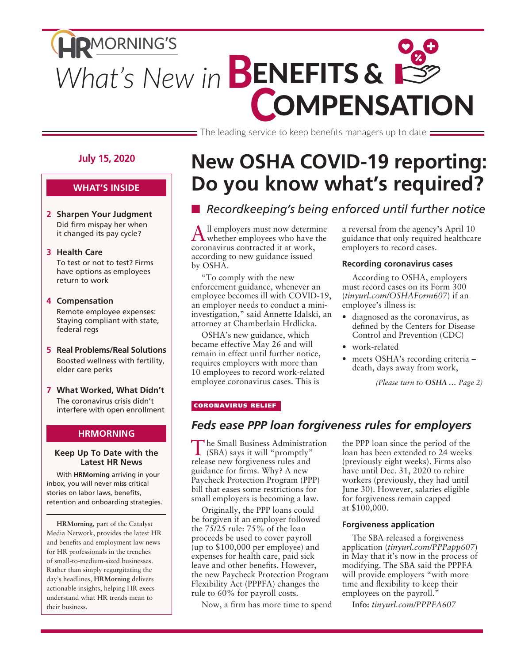# **HRMORNING'S** What's New in **BENEFITS & COMPENSATION**

 $\equiv$  The leading service to keep benefits managers up to date  $\equiv$ 

#### **July 15, 2020**

#### **WHAT'S INSIDE**

**2 Sharpen Your Judgment** Did firm mispay her when it changed its pay cycle?

#### **3 Health Care**

To test or not to test? Firms have options as employees return to work

- **4 Compensation** Remote employee expenses: Staying compliant with state, federal regs
- **5 Real Problems/Real Solutions** Boosted wellness with fertility, elder care perks
- **7 What Worked, What Didn't** The coronavirus crisis didn't interfere with open enrollment

#### **HRMORNING**

#### **Keep Up To Date with the Latest HR News**

With **HRMorning** arriving in your inbox, you will never miss critical stories on labor laws, benefits, retention and onboarding strategies.

**HRMorning,** part of the Catalyst Media Network, provides the latest HR and benefits and employment law news for HR professionals in the trenches of small-to-medium-sized businesses. Rather than simply regurgitating the day's headlines, **HRMorning** delivers actionable insights, helping HR execs understand what HR trends mean to their business.

# **New OSHA COVID-19 reporting: Do you know what's required?**

### ■ *Recordkeeping's being enforced until further notice*

All employers must now determine whether employees who have the coronavirus contracted it at work, according to new guidance issued by OSHA.

"To comply with the new enforcement guidance, whenever an employee becomes ill with COVID-19, an employer needs to conduct a miniinvestigation," said Annette Idalski, an attorney at Chamberlain Hrdlicka.

OSHA's new guidance, which became effective May 26 and will remain in effect until further notice, requires employers with more than 10 employees to record work-related employee coronavirus cases. This is

a reversal from the agency's April 10 guidance that only required healthcare employers to record cases.

#### **Recording coronavirus cases**

According to OSHA, employers must record cases on its Form 300 (*tinyurl.com/OSHAForm607*) if an employee's illness is:

- diagnosed as the coronavirus, as defined by the Centers for Disease Control and Prevention (CDC)
- work-related
- meets OSHA's recording criteria death, days away from work,

*(Please turn to OSHA … Page 2)*

#### CORONAVIRUS RELIEF

### *Feds ease PPP loan forgiveness rules for employers*

The Small Business Administration (SBA) says it will "promptly" release new forgiveness rules and guidance for firms. Why? A new Paycheck Protection Program (PPP) bill that eases some restrictions for small employers is becoming a law.

Originally, the PPP loans could be forgiven if an employer followed the 75/25 rule: 75% of the loan proceeds be used to cover payroll (up to \$100,000 per employee) and expenses for health care, paid sick leave and other benefits. However, the new Paycheck Protection Program Flexibility Act (PPPFA) changes the rule to 60% for payroll costs.

Now, a firm has more time to spend

the PPP loan since the period of the loan has been extended to 24 weeks (previously eight weeks). Firms also have until Dec. 31, 2020 to rehire workers (previously, they had until June 30). However, salaries eligible for forgiveness remain capped at \$100,000.

#### **Forgiveness application**

The SBA released a forgiveness application (*tinyurl.com/PPPapp607*) in May that it's now in the process of modifying. The SBA said the PPPFA will provide employers "with more time and flexibility to keep their employees on the payroll."

**Info:** *tinyurl.com/PPPFA607*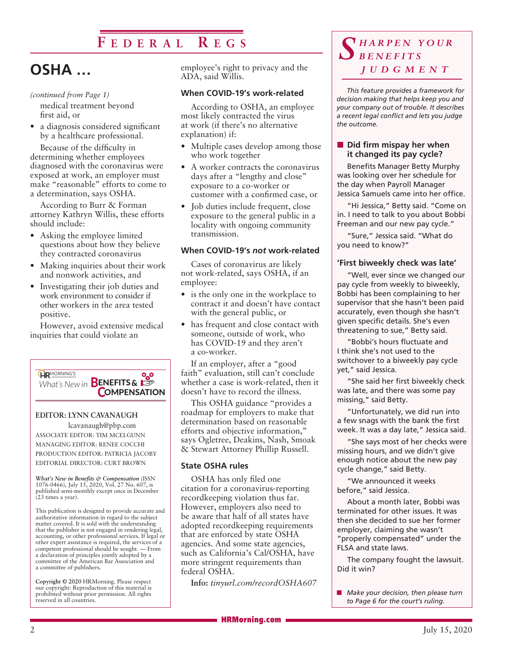### **F e d e r a l R e g s**

# **OSHA …**

#### *(continued from Page 1)*

medical treatment beyond first aid, or

• a diagnosis considered significant by a healthcare professional.

Because of the difficulty in determining whether employees diagnosed with the coronavirus were exposed at work, an employer must make "reasonable" efforts to come to a determination, says OSHA.

According to Burr & Forman attorney Kathryn Willis, these efforts should include:

- Asking the employee limited questions about how they believe they contracted coronavirus
- Making inquiries about their work and nonwork activities, and
- Investigating their job duties and work environment to consider if other workers in the area tested positive.

However, avoid extensive medical inquiries that could violate an



#### **EDITOR: LYNN CAVANAUGH**

lcavanaugh@pbp.com ASSOCIATE EDITOR: TIM MCELGUNN MANAGING EDITOR: RENEE COCCHI PRODUCTION EDITOR: PATRICIA JACOBY EDITORIAL DIRECTOR: CURT BROWN

*What's New in Benefits & Compensation* (ISSN 1076-0466), July 15, 2020, Vol. 27 No. 607, is published semi-monthly except once in December (23 times a year).

This publication is designed to provide accurate and authoritative information in regard to the subject matter covered. It is sold with the understanding that the publisher is not engaged in rendering legal, accounting, or other professional services. If legal or other expert assistance is required, the services of a competent professional should be sought. — From a declaration of principles jointly adopted by a committee of the American Bar Association and a committee of publishers.

**Copyright © 2020** HRMorning. Please respect our copyright: Reproduction of this material is prohibited without prior permission. All rights reserved in all countries.

employee's right to privacy and the ADA, said Willis.

#### **When COVID-19's work-related**

According to OSHA, an employee most likely contracted the virus at work (if there's no alternative explanation) if:

- Multiple cases develop among those who work together
- A worker contracts the coronavirus days after a "lengthy and close" exposure to a co-worker or customer with a confirmed case, or
- Job duties include frequent, close exposure to the general public in a locality with ongoing community transmission.

#### **When COVID-19's** *not* **work-related**

Cases of coronavirus are likely not work-related, says OSHA, if an employee:

- is the only one in the workplace to contract it and doesn't have contact with the general public, or
- has frequent and close contact with someone, outside of work, who has COVID-19 and they aren't a co-worker.

If an employer, after a "good faith" evaluation, still can't conclude whether a case is work-related, then it doesn't have to record the illness.

This OSHA guidance "provides a roadmap for employers to make that determination based on reasonable efforts and objective information," says Ogletree, Deakins, Nash, Smoak & Stewart Attorney Phillip Russell.

#### **State OSHA rules**

OSHA has only filed one citation for a coronavirus-reporting recordkeeping violation thus far. However, employers also need to be aware that half of all states have adopted recordkeeping requirements that are enforced by state OSHA agencies. And some state agencies, such as California's Cal/OSHA, have more stringent requirements than federal OSHA.

**Info:** *tinyurl.com/recordOSHA607*

### *S h a r p e n y o u r b e n e f i t s j u d g m e n t*

*This feature provides a framework for decision making that helps keep you and your company out of trouble. It describes a recent legal conflict and lets you judge the outcome.*

#### **n Did firm mispay her when it changed its pay cycle?**

Benefits Manager Betty Murphy was looking over her schedule for the day when Payroll Manager Jessica Samuels came into her office.

"Hi Jessica," Betty said. "Come on in. I need to talk to you about Bobbi Freeman and our new pay cycle."

"Sure," Jessica said. "What do you need to know?"

#### **'First biweekly check was late'**

"Well, ever since we changed our pay cycle from weekly to biweekly, Bobbi has been complaining to her supervisor that she hasn't been paid accurately, even though she hasn't given specific details. She's even threatening to sue," Betty said.

"Bobbi's hours fluctuate and I think she's not used to the switchover to a biweekly pay cycle yet," said Jessica.

"She said her first biweekly check was late, and there was some pay missing," said Betty.

"Unfortunately, we did run into a few snags with the bank the first week. It was a day late," Jessica said.

"She says most of her checks were missing hours, and we didn't give enough notice about the new pay cycle change," said Betty.

"We announced it weeks before," said Jessica.

About a month later, Bobbi was terminated for other issues. It was then she decided to sue her former employer, claiming she wasn't "properly compensated" under the FLSA and state laws.

The company fought the lawsuit. Did it win?

**n** *Make your decision, then please turn to Page 6 for the court's ruling.*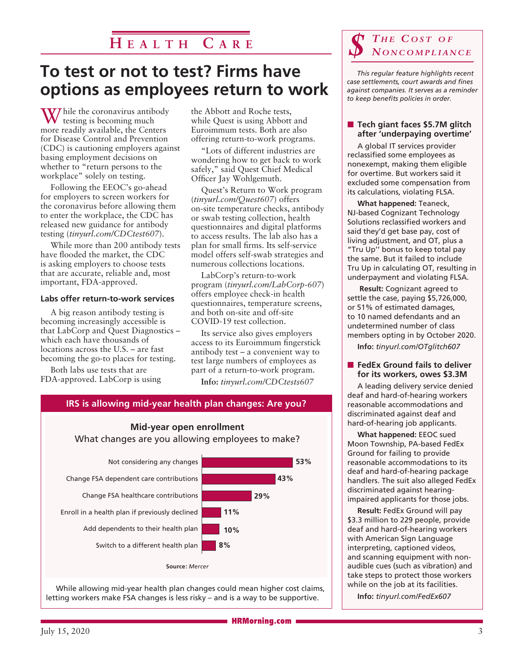### **H e a l t h C a r e**

## **To test or not to test? Firms have options as employees return to work**

W hile the coronavirus antibody testing is becoming much more readily available, the Centers for Disease Control and Prevention (CDC) is cautioning employers against basing employment decisions on whether to "return persons to the workplace" solely on testing.

Following the EEOC's go-ahead for employers to screen workers for the coronavirus before allowing them to enter the workplace, the CDC has released new guidance for antibody testing (*tinyurl.com/CDCtest607*).

While more than 200 antibody tests have flooded the market, the CDC is asking employers to choose tests that are accurate, reliable and, most important, FDA-approved.

#### **Labs offer return-to-work services**

A big reason antibody testing is becoming increasingly accessible is that LabCorp and Quest Diagnostics – which each have thousands of locations across the U.S. – are fast becoming the go-to places for testing.

Both labs use tests that are FDA-approved. LabCorp is using the Abbott and Roche tests, while Quest is using Abbott and Euroimmum tests. Both are also offering return-to-work programs.

"Lots of different industries are wondering how to get back to work safely," said Quest Chief Medical Officer Jay Wohlgemuth.

Quest's Return to Work program (*tinyurl.com/Quest607*) offers on-site temperature checks, antibody or swab testing collection, health questionnaires and digital platforms to access results. The lab also has a plan for small firms. Its self-service model offers self-swab strategies and numerous collections locations.

LabCorp's return-to-work program (*tinyurl.com/LabCorp-607*) offers employee check-in health questionnaires, temperature screens, and both on-site and off-site COVID-19 test collection.

Its service also gives employers access to its Euroimmum fingerstick antibody test – a convenient way to test large numbers of employees as part of a return-to-work program.

**Info:** *tinyurl.com/CDCtests607*

### **IRS is allowing mid-year health plan changes: Are you?**

**Mid-year open enrollment**



While allowing mid-year health plan changes could mean higher cost claims, letting workers make FSA changes is less risky – and is a way to be supportive.

# $\int \frac{1}{\sqrt{2}}$  *MONCOMPLIANCE*

*This regular feature highlights recent case settlements, court awards and fines against companies. It serves as a reminder to keep benefits policies in order.* 

#### ■ Tech giant faces \$5.7M glitch **after 'underpaying overtime'**

A global IT services provider reclassified some employees as nonexempt, making them eligible for overtime. But workers said it excluded some compensation from its calculations, violating FLSA.

**What happened:** Teaneck, NJ-based Cognizant Technology Solutions reclassified workers and said they'd get base pay, cost of living adjustment, and OT, plus a "Tru Up'' bonus to keep total pay the same. But it failed to include Tru Up in calculating OT, resulting in underpayment and violating FLSA.

**Result:** Cognizant agreed to settle the case, paying \$5,726,000, or 51% of estimated damages, to 10 named defendants and an undetermined number of class members opting in by October 2020.

**Info:** *tinyurl.com/OTglitch607*

#### ■ FedEx Ground fails to deliver **for its workers, owes \$3.3M**

A leading delivery service denied deaf and hard-of-hearing workers reasonable accommodations and discriminated against deaf and hard-of-hearing job applicants.

**What happened:** EEOC sued Moon Township, PA-based FedEx Ground for failing to provide reasonable accommodations to its deaf and hard-of-hearing package handlers. The suit also alleged FedEx discriminated against hearingimpaired applicants for those jobs.

**Result:** FedEx Ground will pay \$3.3 million to 229 people, provide deaf and hard-of-hearing workers with American Sign Language interpreting, captioned videos, and scanning equipment with nonaudible cues (such as vibration) and take steps to protect those workers while on the job at its facilities.

**Info:** *tinyurl.com/FedEx607*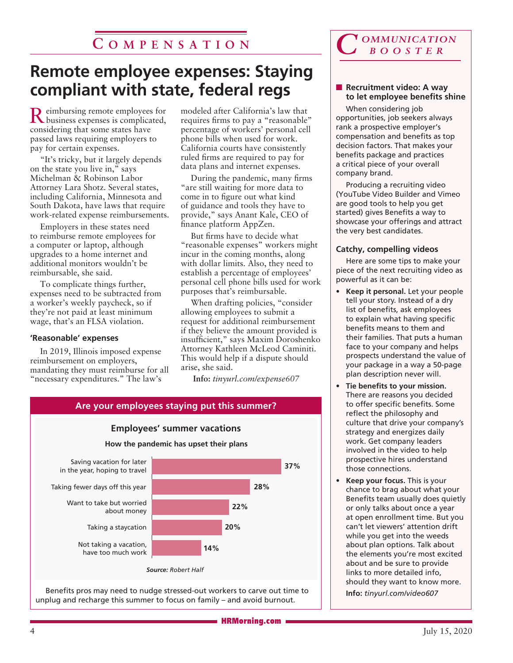### **C o m p e n s a t i o n**

## **Remote employee expenses: Staying compliant with state, federal regs**

Reimbursing remote employees for business expenses is complicated, considering that some states have passed laws requiring employers to pay for certain expenses.

"It's tricky, but it largely depends on the state you live in," says Michelman & Robinson Labor Attorney Lara Shotz. Several states, including California, Minnesota and South Dakota, have laws that require work-related expense reimbursements.

Employers in these states need to reimburse remote employees for a computer or laptop, although upgrades to a home internet and additional monitors wouldn't be reimbursable, she said.

To complicate things further, expenses need to be subtracted from a worker's weekly paycheck, so if they're not paid at least minimum wage, that's an FLSA violation.

#### **'Reasonable' expenses**

In 2019, Illinois imposed expense reimbursement on employers, mandating they must reimburse for all "necessary expenditures." The law's

modeled after California's law that requires firms to pay a "reasonable" percentage of workers' personal cell phone bills when used for work. California courts have consistently ruled firms are required to pay for data plans and internet expenses.

During the pandemic, many firms "are still waiting for more data to come in to figure out what kind of guidance and tools they have to provide," says Anant Kale, CEO of finance platform AppZen.

But firms have to decide what "reasonable expenses" workers might incur in the coming months, along with dollar limits. Also, they need to establish a percentage of employees' personal cell phone bills used for work purposes that's reimbursable.

When drafting policies, "consider allowing employees to submit a request for additional reimbursement if they believe the amount provided is insufficient," says Maxim Doroshenko Attorney Kathleen McLeod Caminiti. This would help if a dispute should arise, she said.

**Info:** *tinyurl.com/expense607*



Benefits pros may need to nudge stressed-out workers to carve out time to unplug and recharge this summer to focus on family – and avoid burnout.



#### **Recruitment video: A way to let employee benefits shine**

When considering job opportunities, job seekers always rank a prospective employer's compensation and benefits as top decision factors. That makes your benefits package and practices a critical piece of your overall company brand.

Producing a recruiting video (YouTube Video Builder and Vimeo are good tools to help you get started) gives Benefits a way to showcase your offerings and attract the very best candidates.

#### **Catchy, compelling videos**

Here are some tips to make your piece of the next recruiting video as powerful as it can be:

- **• Keep it personal.** Let your people tell your story. Instead of a dry list of benefits, ask employees to explain what having specific benefits means to them and their families. That puts a human face to your company and helps prospects understand the value of your package in a way a 50-page plan description never will.
- **• Tie benefits to your mission.**  There are reasons you decided to offer specific benefits. Some reflect the philosophy and culture that drive your company's strategy and energizes daily work. Get company leaders involved in the video to help prospective hires understand those connections.
- **• Keep your focus.** This is your chance to brag about what your Benefits team usually does quietly or only talks about once a year at open enrollment time. But you can't let viewers' attention drift while you get into the weeds about plan options. Talk about the elements you're most excited about and be sure to provide links to more detailed info, should they want to know more. **Info:** *tinyurl.com/video607*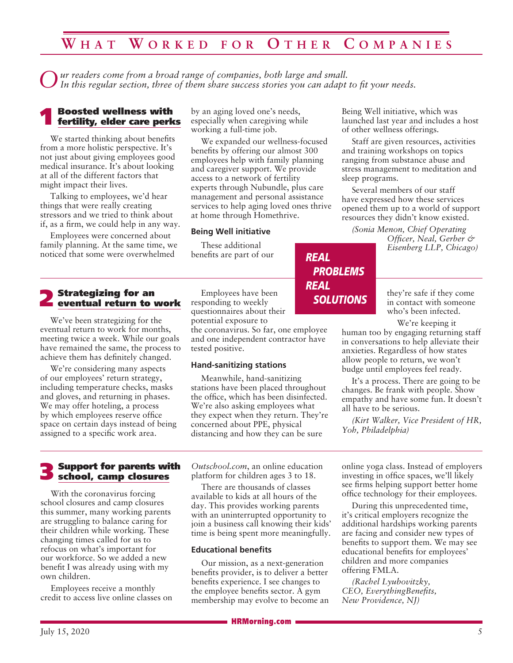### **W h a t W o r k e d f o r O t h e r C o m p a n i e s**

*Our readers come from a broad range of companies, both large and small. In this regular section, three of them share success stories you can adapt to fit your needs.*

# 1 Boosted wellness with fertility, elder care perks

We started thinking about benefits from a more holistic perspective. It's not just about giving employees good medical insurance. It's about looking at all of the different factors that might impact their lives.

Talking to employees, we'd hear things that were really creating stressors and we tried to think about if, as a firm, we could help in any way.

Employees were concerned about family planning. At the same time, we noticed that some were overwhelmed

2 Strategizing for an eventual return to work

We've been strategizing for the eventual return to work for months, meeting twice a week. While our goals have remained the same, the process to achieve them has definitely changed.

We're considering many aspects of our employees' return strategy, including temperature checks, masks and gloves, and returning in phases. We may offer hoteling, a process by which employees reserve office space on certain days instead of being assigned to a specific work area.

by an aging loved one's needs, especially when caregiving while working a full-time job.

We expanded our wellness-focused benefits by offering our almost 300 employees help with family planning and caregiver support. We provide access to a network of fertility experts through Nubundle, plus care management and personal assistance services to help aging loved ones thrive at home through Homethrive.

*REAL*

*REAL*

*PROBLEMS*

*SOLUTIONS*

#### **Being Well initiative**

These additional benefits are part of our

Employees have been responding to weekly questionnaires about their potential exposure to

the coronavirus. So far, one employee and one independent contractor have tested positive.

#### **Hand-sanitizing stations**

Meanwhile, hand-sanitizing stations have been placed throughout the office, which has been disinfected. We're also asking employees what they expect when they return. They're concerned about PPE, physical distancing and how they can be sure

Support for parents with school, camp closures

With the coronavirus forcing school closures and camp closures this summer, many working parents are struggling to balance caring for their children while working. These changing times called for us to refocus on what's important for our workforce. So we added a new benefit I was already using with my own children.

Employees receive a monthly credit to access live online classes on *Outschool.com*, an online education platform for children ages 3 to 18.

There are thousands of classes available to kids at all hours of the day. This provides working parents with an uninterrupted opportunity to join a business call knowing their kids' time is being spent more meaningfully.

#### **Educational benefits**

Our mission, as a next-generation benefits provider, is to deliver a better benefits experience. I see changes to the employee benefits sector. A gym membership may evolve to become an Being Well initiative, which was launched last year and includes a host of other wellness offerings.

Staff are given resources, activities and training workshops on topics ranging from substance abuse and stress management to meditation and sleep programs.

Several members of our staff have expressed how these services opened them up to a world of support resources they didn't know existed.

*(Sonia Menon, Chief Operating* 

*Officer, Neal, Gerber & Eisenberg LLP, Chicago)*

they're safe if they come in contact with someone who's been infected.

We're keeping it

human too by engaging returning staff in conversations to help alleviate their anxieties. Regardless of how states allow people to return, we won't budge until employees feel ready.

It's a process. There are going to be changes. Be frank with people. Show empathy and have some fun. It doesn't all have to be serious.

*(Kirt Walker, Vice President of HR, Yoh, Philadelphia)*

online yoga class. Instead of employers investing in office spaces, we'll likely see firms helping support better home office technology for their employees.

During this unprecedented time, it's critical employers recognize the additional hardships working parents are facing and consider new types of benefits to support them. We may see educational benefits for employees' children and more companies offering FMLA.

*(Rachel Lyubovitzky, CEO, EverythingBenefits, New Providence, NJ)*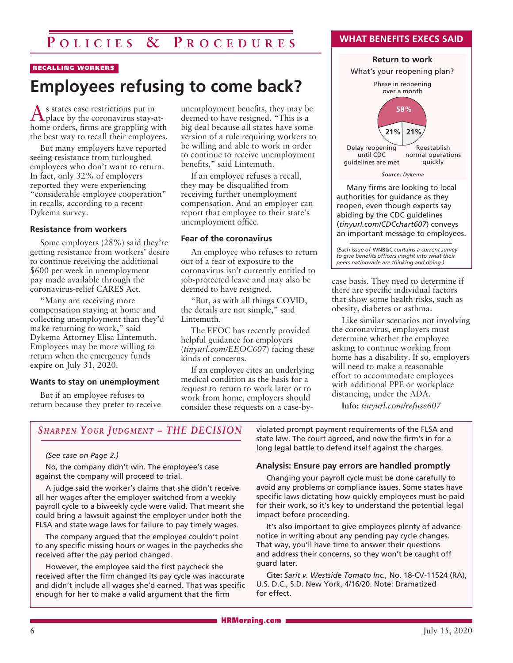### **P o l i c i e s & P r o c e d u r e s**

#### RECALLING WORKERS

## **Employees refusing to come back?**

As states ease restrictions put in place by the coronavirus stay-athome orders, firms are grappling with the best way to recall their employees.

But many employers have reported seeing resistance from furloughed employees who don't want to return. In fact, only 32% of employers reported they were experiencing "considerable employee cooperation" in recalls, according to a recent Dykema survey.

#### **Resistance from workers**

Some employers (28%) said they're getting resistance from workers' desire to continue receiving the additional \$600 per week in unemployment pay made available through the coronavirus-relief CARES Act.

"Many are receiving more compensation staying at home and collecting unemployment than they'd make returning to work," said Dykema Attorney Elisa Lintemuth. Employees may be more willing to return when the emergency funds expire on July 31, 2020.

#### **Wants to stay on unemployment**

But if an employee refuses to return because they prefer to receive unemployment benefits, they may be deemed to have resigned. "This is a big deal because all states have some version of a rule requiring workers to be willing and able to work in order to continue to receive unemployment benefits," said Lintemuth.

If an employee refuses a recall, they may be disqualified from receiving further unemployment compensation. And an employer can report that employee to their state's unemployment office.

#### **Fear of the coronavirus**

An employee who refuses to return out of a fear of exposure to the coronavirus isn't currently entitled to job-protected leave and may also be deemed to have resigned.

"But, as with all things COVID, the details are not simple," said Lintemuth.

The EEOC has recently provided helpful guidance for employers (*tinyurl.com/EEOC607*) facing these kinds of concerns.

If an employee cites an underlying medical condition as the basis for a request to return to work later or to work from home, employers should consider these requests on a case-by**WHAT BENEFITS EXECS SAID**

#### *Source: Dykema* **Return to work** Phase in reopening over a month Delay reopening until CDC guidelines are met Reestablish normal operations quickly **21% 21%** What's your reopening plan? **58%**

Many firms are looking to local authorities for guidance as they reopen, even though experts say abiding by the CDC guidelines (*tinyurl.com/CDCchart607*) conveys an important message to employees.

*(Each issue of* WNB&C *contains a current survey to give benefits officers insight into what their peers nationwide are thinking and doing.)*

case basis. They need to determine if there are specific individual factors that show some health risks, such as obesity, diabetes or asthma.

Like similar scenarios not involving the coronavirus, employers must determine whether the employee asking to continue working from home has a disability. If so, employers will need to make a reasonable effort to accommodate employees with additional PPE or workplace distancing, under the ADA.

**Info:** *tinyurl.com/refuse607*

#### **SHARPEN YOUR JUDGMENT - THE DECISION**

#### *(See case on Page 2.)*

No, the company didn't win. The employee's case against the company will proceed to trial.

A judge said the worker's claims that she didn't receive all her wages after the employer switched from a weekly payroll cycle to a biweekly cycle were valid. That meant she could bring a lawsuit against the employer under both the FLSA and state wage laws for failure to pay timely wages.

The company argued that the employee couldn't point to any specific missing hours or wages in the paychecks she received after the pay period changed.

However, the employee said the first paycheck she received after the firm changed its pay cycle was inaccurate and didn't include all wages she'd earned. That was specific enough for her to make a valid argument that the firm

violated prompt payment requirements of the FLSA and state law. The court agreed, and now the firm's in for a long legal battle to defend itself against the charges.

#### **Analysis: Ensure pay errors are handled promptly**

Changing your payroll cycle must be done carefully to avoid any problems or compliance issues. Some states have specific laws dictating how quickly employees must be paid for their work, so it's key to understand the potential legal impact before proceeding.

It's also important to give employees plenty of advance notice in writing about any pending pay cycle changes. That way, you'll have time to answer their questions and address their concerns, so they won't be caught off guard later.

**Cite:** *Sarit v. Westside Tomato Inc.,* No. 18-CV-11524 (RA), U.S. D.C., S.D. New York, 4/16/20. Note: Dramatized for effect.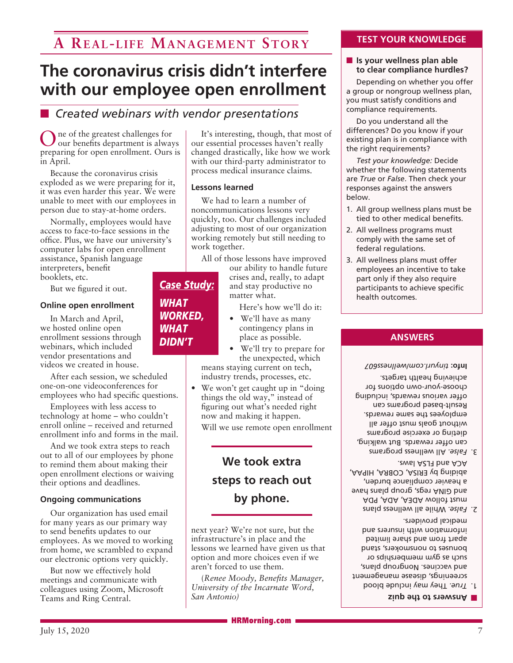# **The coronavirus crisis didn't interfere with our employee open enrollment**

### **n** *Created webinars with vendor presentations*

In the greatest challenges for our benefits department is always preparing for open enrollment. Ours is in April.

Because the coronavirus crisis exploded as we were preparing for it, it was even harder this year. We were unable to meet with our employees in person due to stay-at-home orders.

Normally, employees would have access to face-to-face sessions in the office. Plus, we have our university's computer labs for open enrollment assistance, Spanish language interpreters, benefit

booklets, etc.

But we figured it out.

#### **Online open enrollment**

In March and April, we hosted online open enrollment sessions through webinars, which included vendor presentations and videos we created in house.

After each session, we scheduled one-on-one videoconferences for employees who had specific questions.

Employees with less access to technology at home – who couldn't enroll online – received and returned enrollment info and forms in the mail.

And we took extra steps to reach out to all of our employees by phone to remind them about making their open enrollment elections or waiving their options and deadlines.

#### **Ongoing communications**

Our organization has used email for many years as our primary way to send benefits updates to our employees. As we moved to working from home, we scrambled to expand our electronic options very quickly.

But now we effectively hold meetings and communicate with colleagues using Zoom, Microsoft Teams and Ring Central.

It's interesting, though, that most of our essential processes haven't really changed drastically, like how we work with our third-party administrator to process medical insurance claims.

#### **Lessons learned**

We had to learn a number of noncommunications lessons very quickly, too. Our challenges included adjusting to most of our organization working remotely but still needing to work together.

All of those lessons have improved

our ability to handle future crises and, really, to adapt and stay productive no matter what.

Here's how we'll do it:

- We'll have as many contingency plans in place as possible.
- We'll try to prepare for the unexpected, which

means staying current on tech, industry trends, processes, etc.

We won't get caught up in "doing" things the old way," instead of figuring out what's needed right now and making it happen.

Will we use remote open enrollment

### **We took extra steps to reach out by phone.**

next year? We're not sure, but the infrastructure's in place and the lessons we learned have given us that option and more choices even if we aren't forced to use them.

(*Renee Moody, Benefits Manager, University of the Incarnate Word, San Antonio)*

#### **TEST YOUR KNOWLEDGE**

#### $\blacksquare$  Is your wellness plan able **to clear compliance hurdles?**

Depending on whether you offer a group or nongroup wellness plan, you must satisfy conditions and compliance requirements.

Do you understand all the differences? Do you know if your existing plan is in compliance with the right requirements?

*Test your knowledge:* Decide whether the following statements are *True* or *False*. Then check your responses against the answers below.

- 1. All group wellness plans must be tied to other medical benefits.
- 2. All wellness programs must comply with the same set of federal regulations.
- 3. All wellness plans must offer employees an incentive to take part only if they also require participants to achieve specific health outcomes.

#### **ANSWERS**

*tinyurl.com/wellness607* **Info:** 

 All wellness programs *False.* 3. can offer rewards. But walking, dieting or exercise programs without goals must offer all employees the same rewards. Result-based programs can offer various rewards, including choose-your-own options for achieving health targets.

- 2. False. While all wellness plans must follow ADEA, ADA, PDA and GINA regs, group plans have a heavier compliance burden, abiding by ERISA, COBRA, HIPAA, ACA and FLSA laws.
- True. They may include blood screenings, disease management and vaccines. Nongroup plans, such as gym memberships or bonuses to nonsmokers, stand apart from and share limited information with insurers and medical providers.

**Answers to the quiz** 

### *WHAT WORKED, WHAT DIDN'T*

*Case Study:*